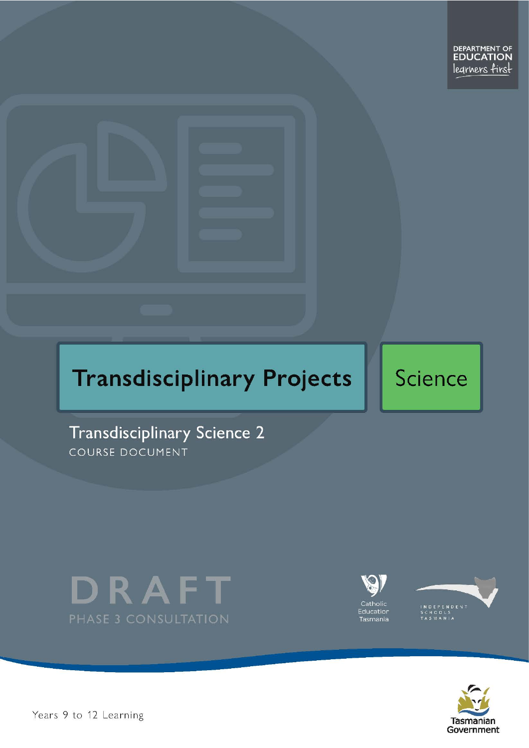# **Transdisciplinary Projects**

Science

Transdisciplinary Science 2 COURSE DOCUMENT









Years 9 to 12 Learning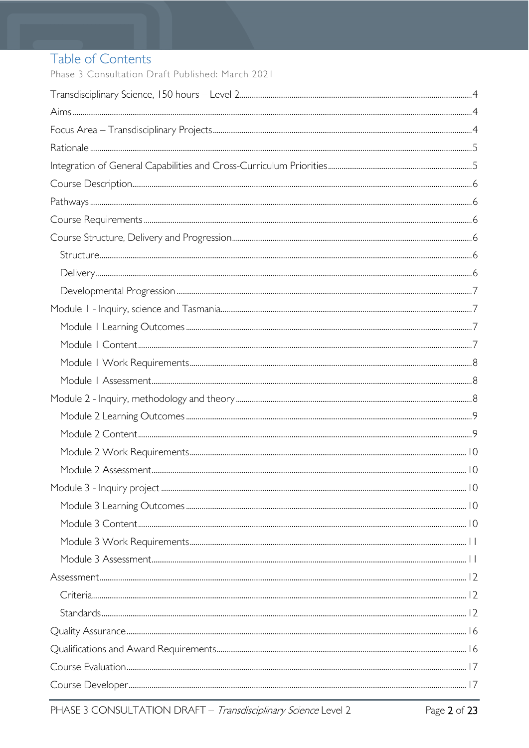# Table of Contents

Phase 3 Consultation Draft Published: March 2021

| $Stand arcs. 12$ |  |
|------------------|--|
|                  |  |
|                  |  |
|                  |  |
|                  |  |
|                  |  |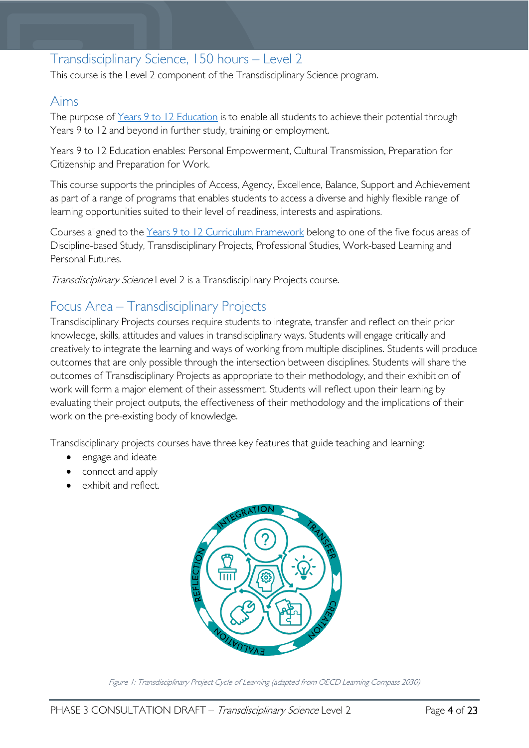# <span id="page-3-0"></span>Transdisciplinary Science, 150 hours – Level 2

This course is the Level 2 component of the Transdisciplinary Science program.

# <span id="page-3-1"></span>Aims

The purpose of Years 9 to 12 [Education](https://publicdocumentcentre.education.tas.gov.au/library/Shared%20Documents/Years-9-to-12-Education-Framework.pdf) is to enable all students to achieve their potential through Years 9 to 12 and beyond in further study, training or employment.

Years 9 to 12 Education enables: Personal Empowerment, Cultural Transmission, Preparation for Citizenship and Preparation for Work.

This course supports the principles of Access, Agency, Excellence, Balance, Support and Achievement as part of a range of programs that enables students to access a diverse and highly flexible range of learning opportunities suited to their level of readiness, interests and aspirations.

Courses aligned to the Years 9 to 12 Curriculum [Framework](https://publicdocumentcentre.education.tas.gov.au/library/Shared%20Documents/Education%209-12%20Frameworks%20A3%20WEB%20POSTER.pdf) belong to one of the five focus areas of Discipline-based Study, Transdisciplinary Projects, Professional Studies, Work-based Learning and Personal Futures.

Transdisciplinary Science Level 2 is a Transdisciplinary Projects course.

# <span id="page-3-2"></span>Focus Area – Transdisciplinary Projects

Transdisciplinary Projects courses require students to integrate, transfer and reflect on their prior knowledge, skills, attitudes and values in transdisciplinary ways. Students will engage critically and creatively to integrate the learning and ways of working from multiple disciplines. Students will produce outcomes that are only possible through the intersection between disciplines. Students will share the outcomes of Transdisciplinary Projects as appropriate to their methodology, and their exhibition of work will form a major element of their assessment. Students will reflect upon their learning by evaluating their project outputs, the effectiveness of their methodology and the implications of their work on the pre-existing body of knowledge.

Transdisciplinary projects courses have three key features that guide teaching and learning:

- engage and ideate
- connect and apply
- exhibit and reflect.



Figure 1: Transdisciplinary Project Cycle of Learning (adapted from OECD Learning Compass 2030)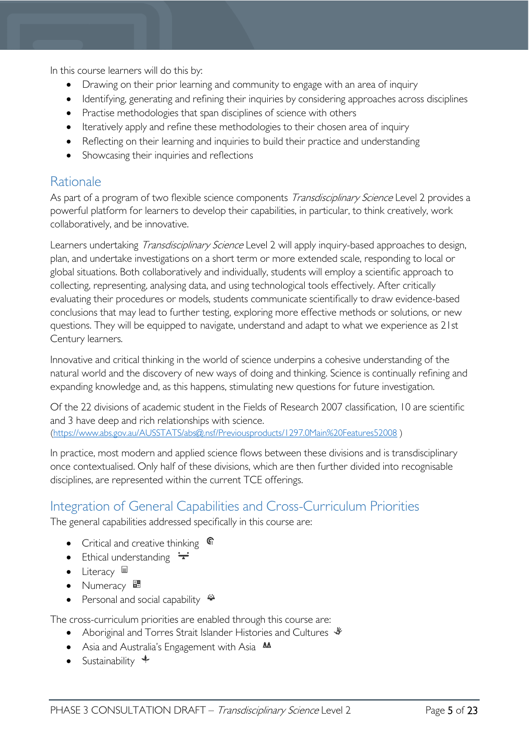In this course learners will do this by:

- Drawing on their prior learning and community to engage with an area of inquiry
- Identifying, generating and refining their inquiries by considering approaches across disciplines
- Practise methodologies that span disciplines of science with others
- Iteratively apply and refine these methodologies to their chosen area of inquiry
- Reflecting on their learning and inquiries to build their practice and understanding
- Showcasing their inquiries and reflections

# <span id="page-4-0"></span>Rationale

As part of a program of two flexible science components *Transdisciplinary Science* Level 2 provides a powerful platform for learners to develop their capabilities, in particular, to think creatively, work collaboratively, and be innovative.

Learners undertaking *Transdisciplinary Science* Level 2 will apply inquiry-based approaches to design, plan, and undertake investigations on a short term or more extended scale, responding to local or global situations. Both collaboratively and individually, students will employ a scientific approach to collecting, representing, analysing data, and using technological tools effectively. After critically evaluating their procedures or models, students communicate scientifically to draw evidence-based conclusions that may lead to further testing, exploring more effective methods or solutions, or new questions. They will be equipped to navigate, understand and adapt to what we experience as 21st Century learners.

Innovative and critical thinking in the world of science underpins a cohesive understanding of the natural world and the discovery of new ways of doing and thinking. Science is continually refining and expanding knowledge and, as this happens, stimulating new questions for future investigation.

Of the 22 divisions of academic student in the Fields of Research 2007 classification, 10 are scientific and 3 have deep and rich relationships with science.

[\(https://www.abs.gov.au/AUSSTATS/abs@.nsf/Previousproducts/1297.0Main%20Features52008](https://www.abs.gov.au/AUSSTATS/abs@.nsf/Previousproducts/1297.0Main%20Features52008) )

In practice, most modern and applied science flows between these divisions and is transdisciplinary once contextualised. Only half of these divisions, which are then further divided into recognisable disciplines, are represented within the current TCE offerings.

# <span id="page-4-1"></span>Integration of General Capabilities and Cross-Curriculum Priorities

The general capabilities addressed specifically in this course are:

- Critical and creative thinking  $\mathbb{C}$
- Ethical understanding  $\div$
- Literacy  $\blacksquare$
- Numeracy  $\frac{1}{2}$
- Personal and social capability  $\ddot{\ddot{}}$

The cross-curriculum priorities are enabled through this course are:

- Aboriginal and Torres Strait Islander Histories and Cultures  $\mathcal$
- Asia and Australia's Engagement with Asia AA
- Sustainability  $\triangleleft$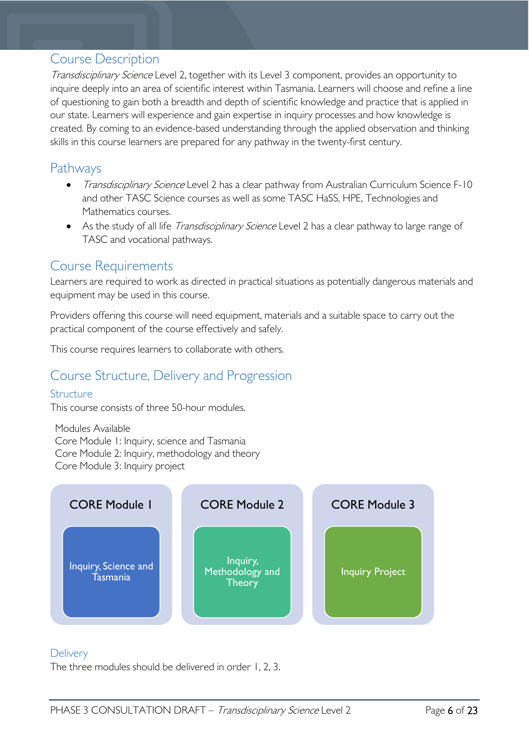### <span id="page-5-0"></span>Course Description

Transdisciplinary Science Level 2, together with its Level 3 component, provides an opportunity to inquire deeply into an area of scientific interest within Tasmania. Learners will choose and refine a line of questioning to gain both a breadth and depth of scientific knowledge and practice that is applied in our state. Learners will experience and gain expertise in inquiry processes and how knowledge is created. By coming to an evidence-based understanding through the applied observation and thinking skills in this course learners are prepared for any pathway in the twenty-first century.

### <span id="page-5-1"></span>Pathways

- Transdisciplinary Science Level 2 has a clear pathway from Australian Curriculum Science F-10 and other TASC Science courses as well as some TASC HaSS, HPE, Technologies and Mathematics courses.
- As the study of all life *Transdisciplinary Science* Level 2 has a clear pathway to large range of TASC and vocational pathways.

### <span id="page-5-2"></span>Course Requirements

Learners are required to work as directed in practical situations as potentially dangerous materials and equipment may be used in this course.

Providers offering this course will need equipment, materials and a suitable space to carry out the practical component of the course effectively and safely.

This course requires learners to collaborate with others.

# <span id="page-5-3"></span>Course Structure, Delivery and Progression

#### <span id="page-5-4"></span>**Structure**

This course consists of three 50-hour modules.

Modules Available Core Module 1: Inquiry, science and Tasmania Core Module 2: Inquiry, methodology and theory Core Module 3: Inquiry project



#### <span id="page-5-5"></span>**Delivery**

The three modules should be delivered in order 1, 2, 3.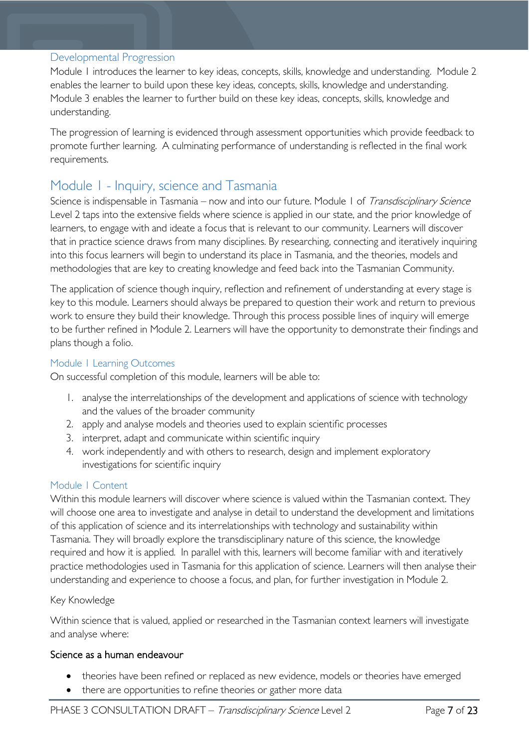#### <span id="page-6-0"></span>Developmental Progression

Module 1 introduces the learner to key ideas, concepts, skills, knowledge and understanding. Module 2 enables the learner to build upon these key ideas, concepts, skills, knowledge and understanding. Module 3 enables the learner to further build on these key ideas, concepts, skills, knowledge and understanding.

The progression of learning is evidenced through assessment opportunities which provide feedback to promote further learning. A culminating performance of understanding is reflected in the final work requirements.

# <span id="page-6-1"></span>Module 1 - Inquiry, science and Tasmania

Science is indispensable in Tasmania – now and into our future. Module 1 of Transdisciplinary Science Level 2 taps into the extensive fields where science is applied in our state, and the prior knowledge of learners, to engage with and ideate a focus that is relevant to our community. Learners will discover that in practice science draws from many disciplines. By researching, connecting and iteratively inquiring into this focus learners will begin to understand its place in Tasmania, and the theories, models and methodologies that are key to creating knowledge and feed back into the Tasmanian Community.

The application of science though inquiry, reflection and refinement of understanding at every stage is key to this module. Learners should always be prepared to question their work and return to previous work to ensure they build their knowledge. Through this process possible lines of inquiry will emerge to be further refined in Module 2. Learners will have the opportunity to demonstrate their findings and plans though a folio.

#### <span id="page-6-2"></span>Module 1 Learning Outcomes

On successful completion of this module, learners will be able to:

- 1. analyse the interrelationships of the development and applications of science with technology and the values of the broader community
- 2. apply and analyse models and theories used to explain scientific processes
- 3. interpret, adapt and communicate within scientific inquiry
- 4. work independently and with others to research, design and implement exploratory investigations for scientific inquiry

#### <span id="page-6-3"></span>Module 1 Content

Within this module learners will discover where science is valued within the Tasmanian context. They will choose one area to investigate and analyse in detail to understand the development and limitations of this application of science and its interrelationships with technology and sustainability within Tasmania. They will broadly explore the transdisciplinary nature of this science, the knowledge required and how it is applied. In parallel with this, learners will become familiar with and iteratively practice methodologies used in Tasmania for this application of science. Learners will then analyse their understanding and experience to choose a focus, and plan, for further investigation in Module 2.

#### Key Knowledge

Within science that is valued, applied or researched in the Tasmanian context learners will investigate and analyse where:

#### Science as a human endeavour

- theories have been refined or replaced as new evidence, models or theories have emerged
- there are opportunities to refine theories or gather more data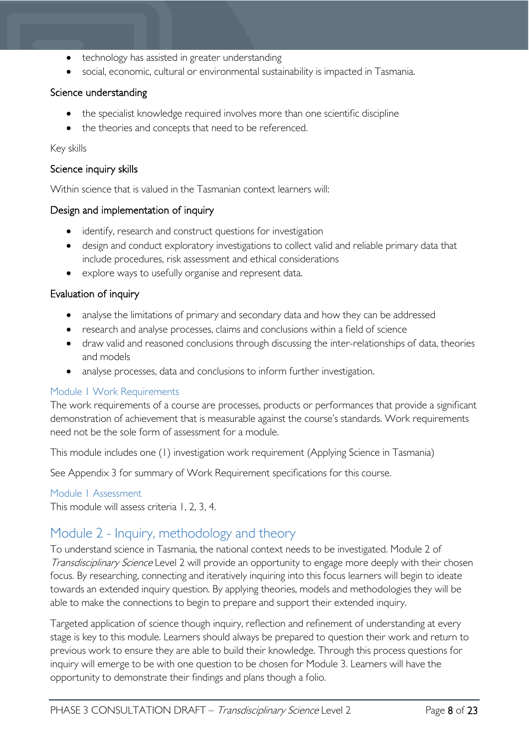- technology has assisted in greater understanding
- social, economic, cultural or environmental sustainability is impacted in Tasmania.

#### Science understanding

- the specialist knowledge required involves more than one scientific discipline
- the theories and concepts that need to be referenced.

#### Key skills

#### Science inquiry skills

Within science that is valued in the Tasmanian context learners will:

#### Design and implementation of inquiry

- identify, research and construct questions for investigation
- design and conduct exploratory investigations to collect valid and reliable primary data that include procedures, risk assessment and ethical considerations
- explore ways to usefully organise and represent data.

#### Evaluation of inquiry

- analyse the limitations of primary and secondary data and how they can be addressed
- research and analyse processes, claims and conclusions within a field of science
- draw valid and reasoned conclusions through discussing the inter-relationships of data, theories and models
- analyse processes, data and conclusions to inform further investigation.

#### <span id="page-7-0"></span>Module 1 Work Requirements

The work requirements of a course are processes, products or performances that provide a significant demonstration of achievement that is measurable against the course's standards. Work requirements need not be the sole form of assessment for a module.

This module includes one (1) investigation work requirement (Applying Science in Tasmania)

See Appendix 3 for summary of Work Requirement specifications for this course.

#### <span id="page-7-1"></span>Module 1 Assessment

This module will assess criteria 1, 2, 3, 4.

# <span id="page-7-2"></span>Module 2 - Inquiry, methodology and theory

To understand science in Tasmania, the national context needs to be investigated. Module 2 of Transdisciplinary Science Level 2 will provide an opportunity to engage more deeply with their chosen focus. By researching, connecting and iteratively inquiring into this focus learners will begin to ideate towards an extended inquiry question. By applying theories, models and methodologies they will be able to make the connections to begin to prepare and support their extended inquiry.

Targeted application of science though inquiry, reflection and refinement of understanding at every stage is key to this module. Learners should always be prepared to question their work and return to previous work to ensure they are able to build their knowledge. Through this process questions for inquiry will emerge to be with one question to be chosen for Module 3. Learners will have the opportunity to demonstrate their findings and plans though a folio.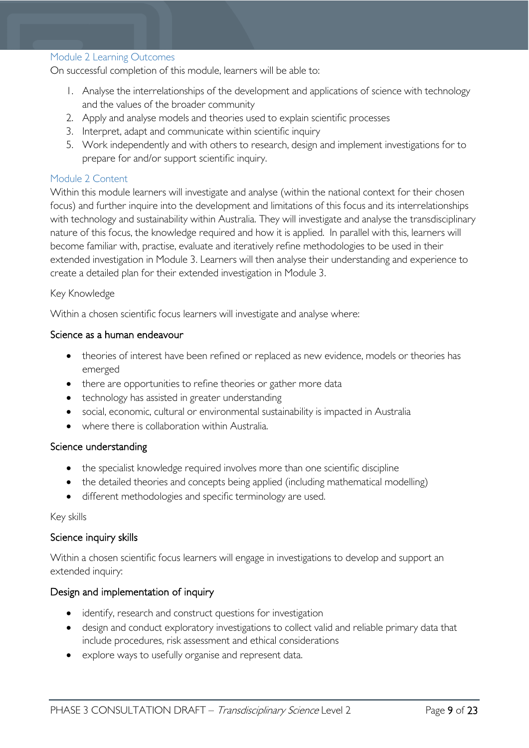#### <span id="page-8-0"></span>Module 2 Learning Outcomes

On successful completion of this module, learners will be able to:

- 1. Analyse the interrelationships of the development and applications of science with technology and the values of the broader community
- 2. Apply and analyse models and theories used to explain scientific processes
- 3. Interpret, adapt and communicate within scientific inquiry
- 5. Work independently and with others to research, design and implement investigations for to prepare for and/or support scientific inquiry.

#### <span id="page-8-1"></span>Module 2 Content

Within this module learners will investigate and analyse (within the national context for their chosen focus) and further inquire into the development and limitations of this focus and its interrelationships with technology and sustainability within Australia. They will investigate and analyse the transdisciplinary nature of this focus, the knowledge required and how it is applied. In parallel with this, learners will become familiar with, practise, evaluate and iteratively refine methodologies to be used in their extended investigation in Module 3. Learners will then analyse their understanding and experience to create a detailed plan for their extended investigation in Module 3.

#### Key Knowledge

Within a chosen scientific focus learners will investigate and analyse where:

#### Science as a human endeavour

- theories of interest have been refined or replaced as new evidence, models or theories has emerged
- there are opportunities to refine theories or gather more data
- technology has assisted in greater understanding
- social, economic, cultural or environmental sustainability is impacted in Australia
- where there is collaboration within Australia.

#### Science understanding

- the specialist knowledge required involves more than one scientific discipline
- the detailed theories and concepts being applied (including mathematical modelling)
- different methodologies and specific terminology are used.

#### Key skills

#### Science inquiry skills

Within a chosen scientific focus learners will engage in investigations to develop and support an extended inquiry:

#### Design and implementation of inquiry

- identify, research and construct questions for investigation
- design and conduct exploratory investigations to collect valid and reliable primary data that include procedures, risk assessment and ethical considerations
- explore ways to usefully organise and represent data.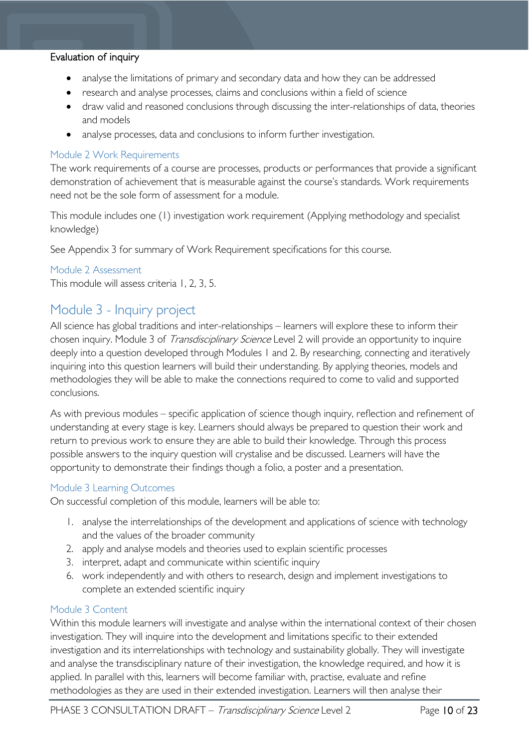#### Evaluation of inquiry

- analyse the limitations of primary and secondary data and how they can be addressed
- research and analyse processes, claims and conclusions within a field of science
- draw valid and reasoned conclusions through discussing the inter-relationships of data, theories and models
- analyse processes, data and conclusions to inform further investigation.

#### <span id="page-9-0"></span>Module 2 Work Requirements

The work requirements of a course are processes, products or performances that provide a significant demonstration of achievement that is measurable against the course's standards. Work requirements need not be the sole form of assessment for a module.

This module includes one (1) investigation work requirement (Applying methodology and specialist knowledge)

See Appendix 3 for summary of Work Requirement specifications for this course.

#### <span id="page-9-1"></span>Module 2 Assessment

This module will assess criteria 1, 2, 3, 5.

### <span id="page-9-2"></span>Module 3 - Inquiry project

All science has global traditions and inter-relationships – learners will explore these to inform their chosen inquiry. Module 3 of *Transdisciplinary Science* Level 2 will provide an opportunity to inquire deeply into a question developed through Modules 1 and 2. By researching, connecting and iteratively inquiring into this question learners will build their understanding. By applying theories, models and methodologies they will be able to make the connections required to come to valid and supported conclusions.

As with previous modules – specific application of science though inquiry, reflection and refinement of understanding at every stage is key. Learners should always be prepared to question their work and return to previous work to ensure they are able to build their knowledge. Through this process possible answers to the inquiry question will crystalise and be discussed. Learners will have the opportunity to demonstrate their findings though a folio, a poster and a presentation.

#### <span id="page-9-3"></span>Module 3 Learning Outcomes

On successful completion of this module, learners will be able to:

- 1. analyse the interrelationships of the development and applications of science with technology and the values of the broader community
- 2. apply and analyse models and theories used to explain scientific processes
- 3. interpret, adapt and communicate within scientific inquiry
- 6. work independently and with others to research, design and implement investigations to complete an extended scientific inquiry

#### <span id="page-9-4"></span>Module 3 Content

Within this module learners will investigate and analyse within the international context of their chosen investigation. They will inquire into the development and limitations specific to their extended investigation and its interrelationships with technology and sustainability globally. They will investigate and analyse the transdisciplinary nature of their investigation, the knowledge required, and how it is applied. In parallel with this, learners will become familiar with, practise, evaluate and refine methodologies as they are used in their extended investigation. Learners will then analyse their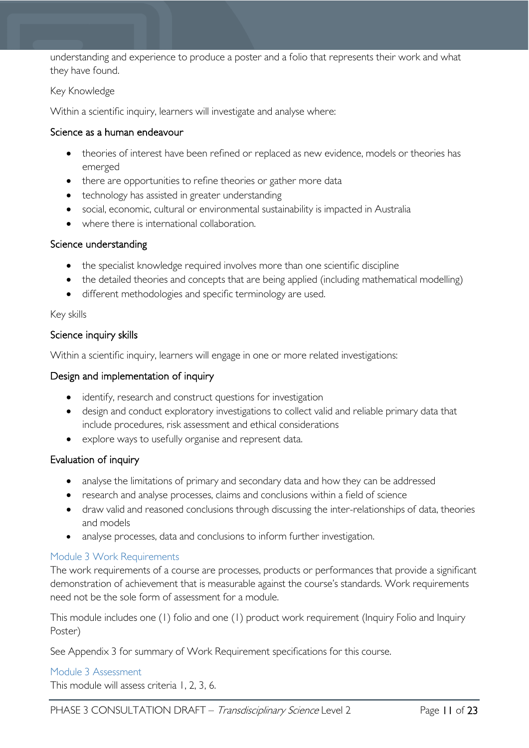understanding and experience to produce a poster and a folio that represents their work and what they have found.

#### Key Knowledge

Within a scientific inquiry, learners will investigate and analyse where:

#### Science as a human endeavour

- theories of interest have been refined or replaced as new evidence, models or theories has emerged
- there are opportunities to refine theories or gather more data
- technology has assisted in greater understanding
- social, economic, cultural or environmental sustainability is impacted in Australia
- where there is international collaboration.

#### Science understanding

- the specialist knowledge required involves more than one scientific discipline
- the detailed theories and concepts that are being applied (including mathematical modelling)
- different methodologies and specific terminology are used.

#### Key skills

#### Science inquiry skills

Within a scientific inquiry, learners will engage in one or more related investigations:

#### Design and implementation of inquiry

- identify, research and construct questions for investigation
- design and conduct exploratory investigations to collect valid and reliable primary data that include procedures, risk assessment and ethical considerations
- explore ways to usefully organise and represent data.

#### Evaluation of inquiry

- analyse the limitations of primary and secondary data and how they can be addressed
- research and analyse processes, claims and conclusions within a field of science
- draw valid and reasoned conclusions through discussing the inter-relationships of data, theories and models
- analyse processes, data and conclusions to inform further investigation.

#### <span id="page-10-0"></span>Module 3 Work Requirements

The work requirements of a course are processes, products or performances that provide a significant demonstration of achievement that is measurable against the course's standards. Work requirements need not be the sole form of assessment for a module.

This module includes one (1) folio and one (1) product work requirement (Inquiry Folio and Inquiry Poster)

See Appendix 3 for summary of Work Requirement specifications for this course.

#### <span id="page-10-1"></span>Module 3 Assessment

This module will assess criteria 1, 2, 3, 6.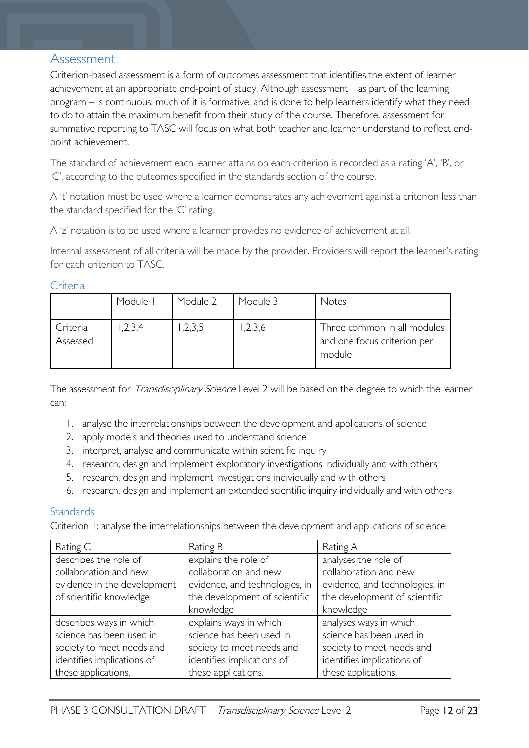### <span id="page-11-0"></span>Assessment

Criterion-based assessment is a form of outcomes assessment that identifies the extent of learner achievement at an appropriate end-point of study. Although assessment – as part of the learning program – is continuous, much of it is formative, and is done to help learners identify what they need to do to attain the maximum benefit from their study of the course. Therefore, assessment for summative reporting to TASC will focus on what both teacher and learner understand to reflect endpoint achievement.

The standard of achievement each learner attains on each criterion is recorded as a rating 'A', 'B', or 'C', according to the outcomes specified in the standards section of the course.

A 't' notation must be used where a learner demonstrates any achievement against a criterion less than the standard specified for the 'C' rating.

A 'z' notation is to be used where a learner provides no evidence of achievement at all.

Internal assessment of all criteria will be made by the provider. Providers will report the learner's rating for each criterion to TASC.

<span id="page-11-1"></span>**Criteria** 

|                      | Module  | Module 2 | Module 3 | Notes                                                                |
|----------------------|---------|----------|----------|----------------------------------------------------------------------|
| Criteria<br>Assessed | 1,2,3,4 | ,2,3,5   | ,2,3,6   | Three common in all modules<br>and one focus criterion per<br>module |

The assessment for *Transdisciplinary Science* Level 2 will be based on the degree to which the learner can:

- 1. analyse the interrelationships between the development and applications of science
- 2. apply models and theories used to understand science
- 3. interpret, analyse and communicate within scientific inquiry
- 4. research, design and implement exploratory investigations individually and with others
- 5. research, design and implement investigations individually and with others
- 6. research, design and implement an extended scientific inquiry individually and with others

#### <span id="page-11-2"></span>**Standards**

Criterion 1: analyse the interrelationships between the development and applications of science

| Rating C                    | Rating B                                                       | Rating A                       |
|-----------------------------|----------------------------------------------------------------|--------------------------------|
| describes the role of       | explains the role of                                           | analyses the role of           |
| collaboration and new       | collaboration and new                                          | collaboration and new          |
| evidence in the development | evidence, and technologies, in                                 | evidence, and technologies, in |
| of scientific knowledge     | the development of scientific<br>the development of scientific |                                |
|                             | knowledge                                                      | knowledge                      |
| describes ways in which     | explains ways in which                                         | analyses ways in which         |
| science has been used in    | science has been used in                                       | science has been used in       |
| society to meet needs and   | society to meet needs and                                      | society to meet needs and      |
| identifies implications of  | identifies implications of                                     | identifies implications of     |
| these applications.         | these applications.                                            | these applications.            |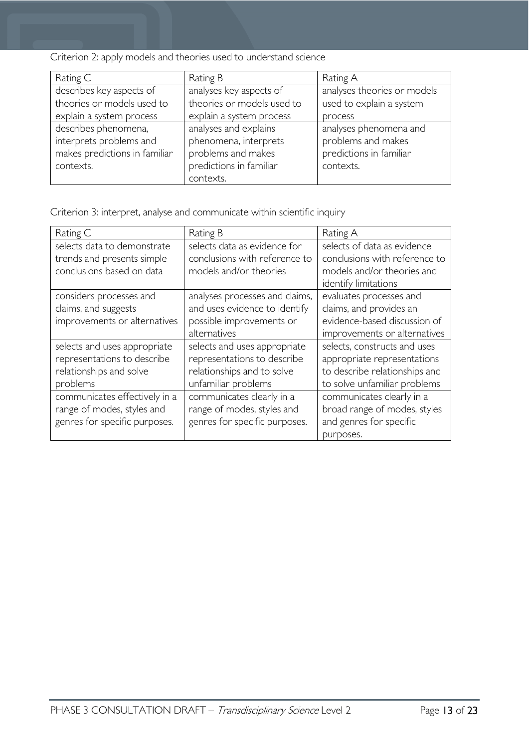Criterion 2: apply models and theories used to understand science

| Rating C                      | Rating B                   | Rating A                    |
|-------------------------------|----------------------------|-----------------------------|
| describes key aspects of      | analyses key aspects of    | analyses theories or models |
| theories or models used to    | theories or models used to | used to explain a system    |
| explain a system process      | explain a system process   | process                     |
| describes phenomena,          | analyses and explains      | analyses phenomena and      |
| interprets problems and       | phenomena, interprets      | problems and makes          |
| makes predictions in familiar | problems and makes         | predictions in familiar     |
| contexts.                     | predictions in familiar    | contexts.                   |
|                               | contexts.                  |                             |

Criterion 3: interpret, analyse and communicate within scientific inquiry

| Rating C                      | Rating B                       | Rating A                      |
|-------------------------------|--------------------------------|-------------------------------|
| selects data to demonstrate   | selects data as evidence for   | selects of data as evidence   |
| trends and presents simple    | conclusions with reference to  | conclusions with reference to |
| conclusions based on data     | models and/or theories         | models and/or theories and    |
|                               |                                | identify limitations          |
| considers processes and       | analyses processes and claims, | evaluates processes and       |
| claims, and suggests          | and uses evidence to identify  | claims, and provides an       |
| improvements or alternatives  | possible improvements or       | evidence-based discussion of  |
|                               | alternatives                   | improvements or alternatives  |
| selects and uses appropriate  | selects and uses appropriate   | selects, constructs and uses  |
| representations to describe   | representations to describe    | appropriate representations   |
| relationships and solve       | relationships and to solve     | to describe relationships and |
| problems                      | unfamiliar problems            | to solve unfamiliar problems  |
| communicates effectively in a | communicates clearly in a      | communicates clearly in a     |
| range of modes, styles and    | range of modes, styles and     | broad range of modes, styles  |
| genres for specific purposes. | genres for specific purposes.  | and genres for specific       |
|                               |                                | purposes.                     |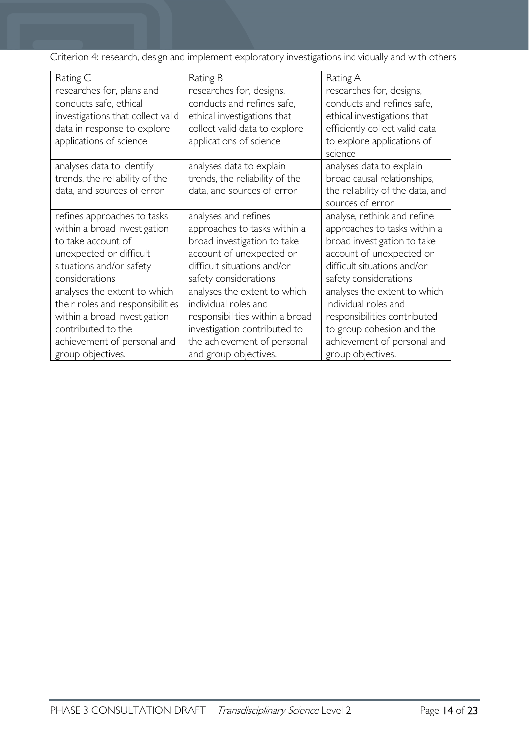Criterion 4: research, design and implement exploratory investigations individually and with others

| Rating C                                                                                                                                                                   | Rating B                                                                                                                                                                        | Rating A                                                                                                                                                                       |
|----------------------------------------------------------------------------------------------------------------------------------------------------------------------------|---------------------------------------------------------------------------------------------------------------------------------------------------------------------------------|--------------------------------------------------------------------------------------------------------------------------------------------------------------------------------|
| researches for, plans and<br>conducts safe, ethical<br>investigations that collect valid<br>data in response to explore<br>applications of science                         | researches for, designs,<br>conducts and refines safe,<br>ethical investigations that<br>collect valid data to explore<br>applications of science                               | researches for, designs,<br>conducts and refines safe,<br>ethical investigations that<br>efficiently collect valid data<br>to explore applications of<br>science               |
| analyses data to identify<br>trends, the reliability of the<br>data, and sources of error                                                                                  | analyses data to explain<br>trends, the reliability of the<br>data, and sources of error                                                                                        | analyses data to explain<br>broad causal relationships,<br>the reliability of the data, and<br>sources of error                                                                |
| refines approaches to tasks<br>within a broad investigation<br>to take account of<br>unexpected or difficult<br>situations and/or safety<br>considerations                 | analyses and refines<br>approaches to tasks within a<br>broad investigation to take<br>account of unexpected or<br>difficult situations and/or<br>safety considerations         | analyse, rethink and refine<br>approaches to tasks within a<br>broad investigation to take<br>account of unexpected or<br>difficult situations and/or<br>safety considerations |
| analyses the extent to which<br>their roles and responsibilities<br>within a broad investigation<br>contributed to the<br>achievement of personal and<br>group objectives. | analyses the extent to which<br>individual roles and<br>responsibilities within a broad<br>investigation contributed to<br>the achievement of personal<br>and group objectives. | analyses the extent to which<br>individual roles and<br>responsibilities contributed<br>to group cohesion and the<br>achievement of personal and<br>group objectives.          |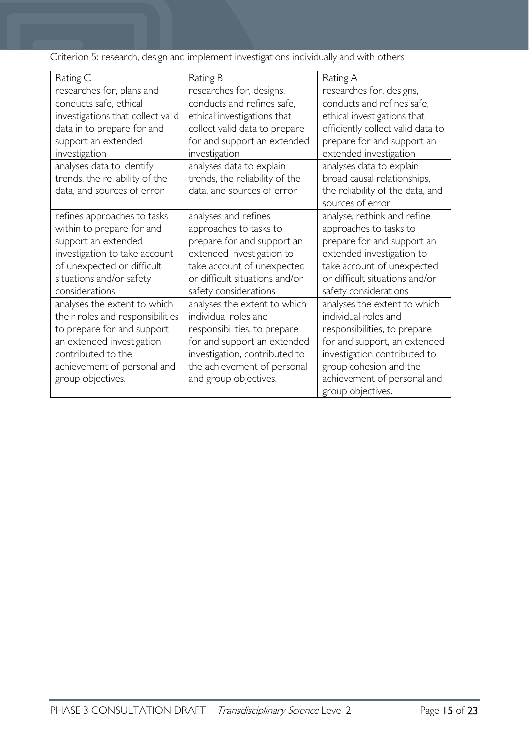| Rating C                          | Rating B                       | Rating A                          |
|-----------------------------------|--------------------------------|-----------------------------------|
| researches for, plans and         | researches for, designs,       | researches for, designs,          |
| conducts safe, ethical            | conducts and refines safe,     | conducts and refines safe,        |
| investigations that collect valid | ethical investigations that    | ethical investigations that       |
| data in to prepare for and        | collect valid data to prepare  | efficiently collect valid data to |
| support an extended               | for and support an extended    | prepare for and support an        |
| investigation                     | investigation                  | extended investigation            |
| analyses data to identify         | analyses data to explain       | analyses data to explain          |
| trends, the reliability of the    | trends, the reliability of the | broad causal relationships,       |
| data, and sources of error        | data, and sources of error     | the reliability of the data, and  |
|                                   |                                | sources of error                  |
| refines approaches to tasks       | analyses and refines           | analyse, rethink and refine       |
| within to prepare for and         | approaches to tasks to         | approaches to tasks to            |
| support an extended               | prepare for and support an     | prepare for and support an        |
| investigation to take account     | extended investigation to      | extended investigation to         |
| of unexpected or difficult        | take account of unexpected     | take account of unexpected        |
| situations and/or safety          | or difficult situations and/or | or difficult situations and/or    |
| considerations                    | safety considerations          | safety considerations             |
| analyses the extent to which      | analyses the extent to which   | analyses the extent to which      |
| their roles and responsibilities  | individual roles and           | individual roles and              |
| to prepare for and support        | responsibilities, to prepare   | responsibilities, to prepare      |
| an extended investigation         | for and support an extended    | for and support, an extended      |
| contributed to the                | investigation, contributed to  | investigation contributed to      |
| achievement of personal and       | the achievement of personal    | group cohesion and the            |
| group objectives.                 | and group objectives.          | achievement of personal and       |
|                                   |                                | group objectives.                 |

Criterion 5: research, design and implement investigations individually and with others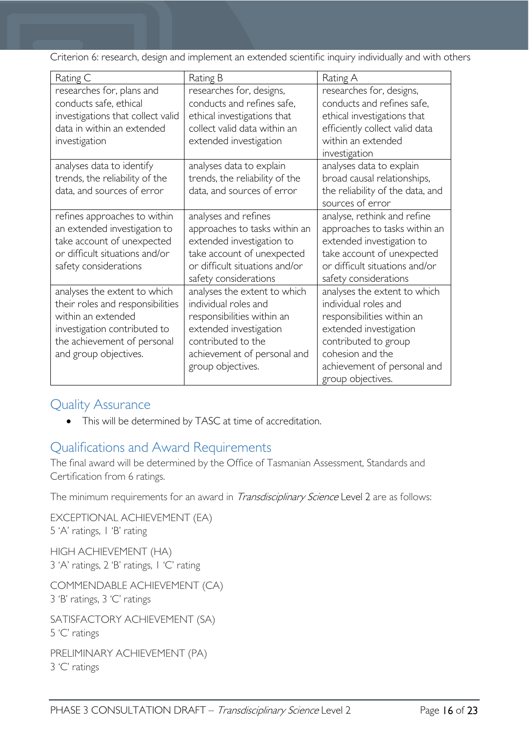Criterion 6: research, design and implement an extended scientific inquiry individually and with others

| Rating C                                                                                                                                                                       | Rating B                                                                                                                                                                               | Rating A                                                                                                                                                                                                     |
|--------------------------------------------------------------------------------------------------------------------------------------------------------------------------------|----------------------------------------------------------------------------------------------------------------------------------------------------------------------------------------|--------------------------------------------------------------------------------------------------------------------------------------------------------------------------------------------------------------|
| researches for, plans and<br>conducts safe, ethical<br>investigations that collect valid<br>data in within an extended<br>investigation                                        | researches for, designs,<br>conducts and refines safe,<br>ethical investigations that<br>collect valid data within an<br>extended investigation                                        | researches for, designs,<br>conducts and refines safe,<br>ethical investigations that<br>efficiently collect valid data<br>within an extended<br>investigation                                               |
| analyses data to identify<br>trends, the reliability of the<br>data, and sources of error                                                                                      | analyses data to explain<br>trends, the reliability of the<br>data, and sources of error                                                                                               | analyses data to explain<br>broad causal relationships,<br>the reliability of the data, and<br>sources of error                                                                                              |
| refines approaches to within<br>an extended investigation to<br>take account of unexpected<br>or difficult situations and/or<br>safety considerations                          | analyses and refines<br>approaches to tasks within an<br>extended investigation to<br>take account of unexpected<br>or difficult situations and/or<br>safety considerations            | analyse, rethink and refine<br>approaches to tasks within an<br>extended investigation to<br>take account of unexpected<br>or difficult situations and/or<br>safety considerations                           |
| analyses the extent to which<br>their roles and responsibilities<br>within an extended<br>investigation contributed to<br>the achievement of personal<br>and group objectives. | analyses the extent to which<br>individual roles and<br>responsibilities within an<br>extended investigation<br>contributed to the<br>achievement of personal and<br>group objectives. | analyses the extent to which<br>individual roles and<br>responsibilities within an<br>extended investigation<br>contributed to group<br>cohesion and the<br>achievement of personal and<br>group objectives. |

# <span id="page-15-0"></span>Quality Assurance

• This will be determined by TASC at time of accreditation.

# <span id="page-15-1"></span>Qualifications and Award Requirements

The final award will be determined by the Office of Tasmanian Assessment, Standards and Certification from 6 ratings.

The minimum requirements for an award in *Transdisciplinary Science* Level 2 are as follows:

EXCEPTIONAL ACHIEVEMENT (EA) 5 'A' ratings, 1 'B' rating HIGH ACHIEVEMENT (HA) 3 'A' ratings, 2 'B' ratings, 1 'C' rating COMMENDABLE ACHIEVEMENT (CA) 3 'B' ratings, 3 'C' ratings SATISFACTORY ACHIEVEMENT (SA) 5 'C' ratings PRELIMINARY ACHIEVEMENT (PA) 3 'C' ratings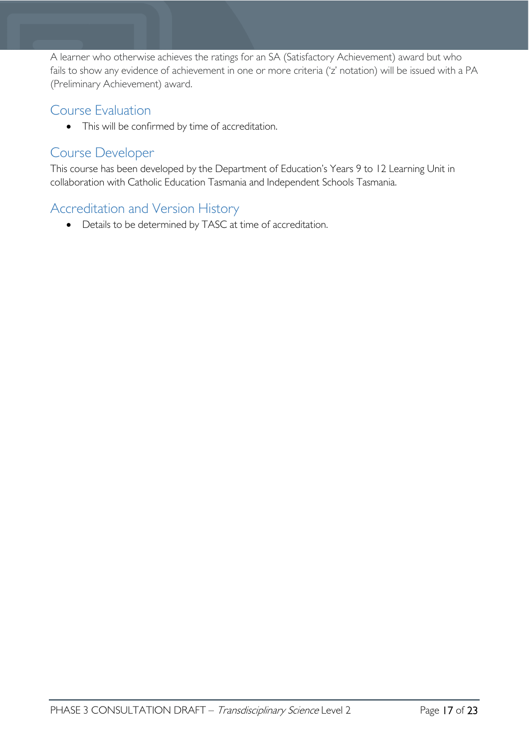A learner who otherwise achieves the ratings for an SA (Satisfactory Achievement) award but who fails to show any evidence of achievement in one or more criteria ('z' notation) will be issued with a PA (Preliminary Achievement) award.

# <span id="page-16-0"></span>Course Evaluation

• This will be confirmed by time of accreditation.

### <span id="page-16-1"></span>Course Developer

This course has been developed by the Department of Education's Years 9 to 12 Learning Unit in collaboration with Catholic Education Tasmania and Independent Schools Tasmania.

# <span id="page-16-2"></span>Accreditation and Version History

• Details to be determined by TASC at time of accreditation.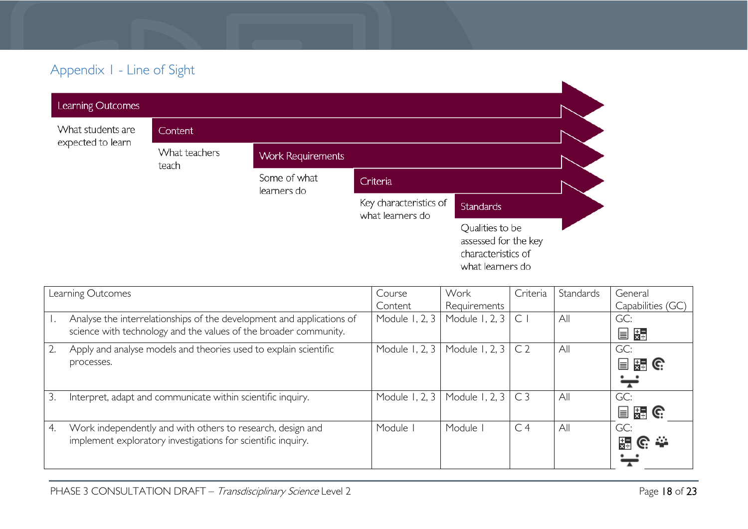# Appendix 1 - Line of Sight

| Learning Outcomes                      |                        |                             |                                            |                                                                                   |  |
|----------------------------------------|------------------------|-----------------------------|--------------------------------------------|-----------------------------------------------------------------------------------|--|
| What students are<br>expected to learn | <b>Content</b>         |                             |                                            |                                                                                   |  |
|                                        | What teachers<br>teach | <b>Work Requirements</b>    |                                            |                                                                                   |  |
|                                        |                        | Some of what<br>learners do | Criteria                                   |                                                                                   |  |
|                                        |                        |                             | Key characteristics of<br>what learners do | <b>Standards</b>                                                                  |  |
|                                        |                        |                             |                                            | Qualities to be<br>assessed for the key<br>characteristics of<br>what learners do |  |

<span id="page-17-0"></span>

|                  | Learning Outcomes                                                     | Course         | Work           | Criteria       | Standards | General                |
|------------------|-----------------------------------------------------------------------|----------------|----------------|----------------|-----------|------------------------|
|                  |                                                                       | Content        | Requirements   |                |           | Capabilities (GC)      |
|                  | Analyse the interrelationships of the development and applications of | Module 1, 2, 3 | Module 1, 2, 3 | $\subset$      | All       | GC:                    |
|                  | science with technology and the values of the broader community.      |                |                |                |           | E XE                   |
| $\overline{2}$ . | Apply and analyse models and theories used to explain scientific      | Module 1, 2, 3 | Module 1, 2, 3 | C <sub>2</sub> | All       | GC:                    |
|                  | processes.                                                            |                |                |                |           | 冒<br>習じ                |
|                  |                                                                       |                |                |                |           |                        |
| 3.               | Interpret, adapt and communicate within scientific inquiry.           | Module 1, 2, 3 | Module 1, 2, 3 | C <sub>3</sub> | All       | GC:                    |
|                  |                                                                       |                |                |                |           | 冒<br>$\frac{1}{24}$ G. |
| 4.               | Work independently and with others to research, design and            | Module         | Module         | C <sub>4</sub> | All       | GC:                    |
|                  | implement exploratory investigations for scientific inquiry.          |                |                |                |           | 믍<br><u>၉</u> ∷—       |
|                  |                                                                       |                |                |                |           |                        |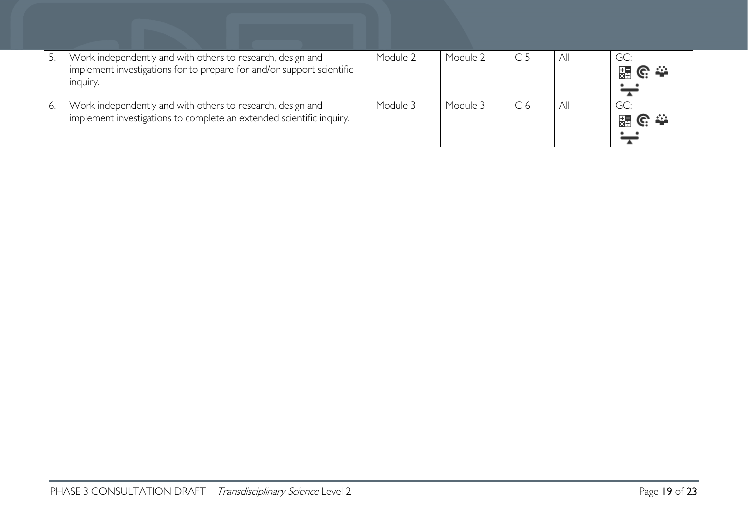|    | Work independently and with others to research, design and<br>implement investigations for to prepare for and/or support scientific<br>inquiry. | Module 2 | Module 2 | All | GC:<br>၉ ≏<br>믔         |
|----|-------------------------------------------------------------------------------------------------------------------------------------------------|----------|----------|-----|-------------------------|
| 6. | Work independently and with others to research, design and<br>implement investigations to complete an extended scientific inquiry.              | Module 3 | Module 3 | All | GC:<br><u>၉.⇔</u><br>믔급 |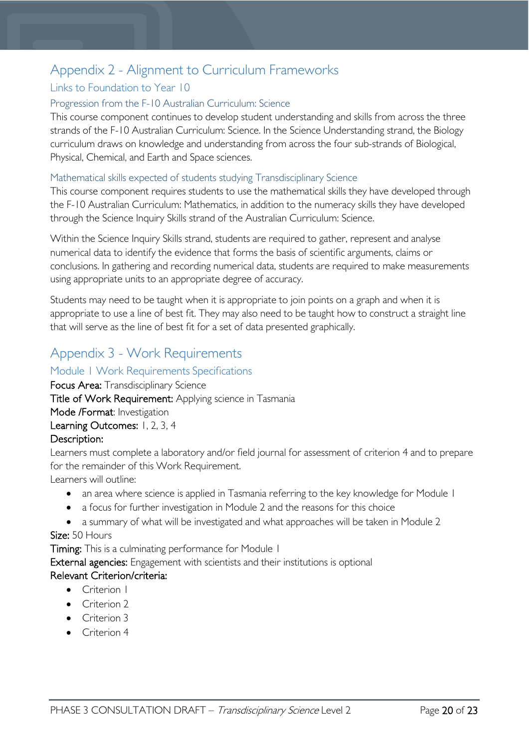# <span id="page-19-0"></span>Appendix 2 - Alignment to Curriculum Frameworks

### <span id="page-19-1"></span>Links to Foundation to Year 10

#### <span id="page-19-2"></span>Progression from the F-10 Australian Curriculum: Science

This course component continues to develop student understanding and skills from across the three strands of the F-10 Australian Curriculum: Science. In the Science Understanding strand, the Biology curriculum draws on knowledge and understanding from across the four sub-strands of Biological, Physical, Chemical, and Earth and Space sciences.

#### <span id="page-19-3"></span>Mathematical skills expected of students studying Transdisciplinary Science

This course component requires students to use the mathematical skills they have developed through the F-10 Australian Curriculum: Mathematics, in addition to the numeracy skills they have developed through the Science Inquiry Skills strand of the Australian Curriculum: Science.

Within the Science Inquiry Skills strand, students are required to gather, represent and analyse numerical data to identify the evidence that forms the basis of scientific arguments, claims or conclusions. In gathering and recording numerical data, students are required to make measurements using appropriate units to an appropriate degree of accuracy.

Students may need to be taught when it is appropriate to join points on a graph and when it is appropriate to use a line of best fit. They may also need to be taught how to construct a straight line that will serve as the line of best fit for a set of data presented graphically.

# <span id="page-19-4"></span>Appendix 3 - Work Requirements

#### <span id="page-19-5"></span>Module 1 Work Requirements Specifications

Focus Area: Transdisciplinary Science

Title of Work Requirement: Applying science in Tasmania

Mode /Format: Investigation

Learning Outcomes: 1, 2, 3, 4

#### Description:

Learners must complete a laboratory and/or field journal for assessment of criterion 4 and to prepare for the remainder of this Work Requirement.

Learners will outline:

- an area where science is applied in Tasmania referring to the key knowledge for Module 1
- a focus for further investigation in Module 2 and the reasons for this choice
- a summary of what will be investigated and what approaches will be taken in Module 2 Size: 50 Hours

Timing: This is a culminating performance for Module 1

External agencies: Engagement with scientists and their institutions is optional

#### Relevant Criterion/criteria:

- Criterion I
- Criterion 2
- Criterion 3
- Criterion 4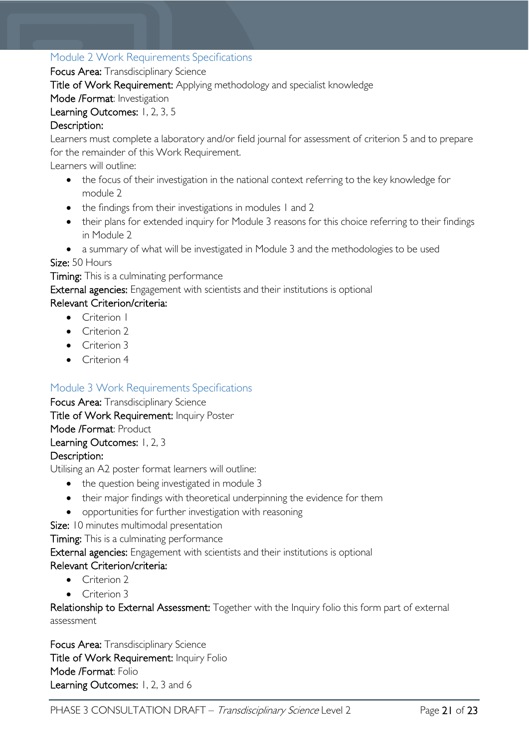#### <span id="page-20-0"></span>Module 2 Work Requirements Specifications

Focus Area: Transdisciplinary Science

Title of Work Requirement: Applying methodology and specialist knowledge

Mode /Format: Investigation

#### Learning Outcomes: 1, 2, 3, 5

#### Description:

Learners must complete a laboratory and/or field journal for assessment of criterion 5 and to prepare for the remainder of this Work Requirement.

Learners will outline:

- the focus of their investigation in the national context referring to the key knowledge for module 2
- the findings from their investigations in modules 1 and 2
- their plans for extended inquiry for Module 3 reasons for this choice referring to their findings in Module 2
- a summary of what will be investigated in Module 3 and the methodologies to be used

Size: 50 Hours

Timing: This is a culminating performance

External agencies: Engagement with scientists and their institutions is optional

#### Relevant Criterion/criteria:

- Criterion I
- Criterion 2
- Criterion 3
- Criterion 4

#### <span id="page-20-1"></span>Module 3 Work Requirements Specifications

Focus Area: Transdisciplinary Science Title of Work Requirement: Inquiry Poster Mode /Format: Product Learning Outcomes: 1, 2, 3 Description:

Utilising an A2 poster format learners will outline:

- the question being investigated in module 3
- their major findings with theoretical underpinning the evidence for them
- opportunities for further investigation with reasoning
- Size: 10 minutes multimodal presentation

Timing: This is a culminating performance

External agencies: Engagement with scientists and their institutions is optional

#### Relevant Criterion/criteria:

- Criterion 2
- Criterion 3

Relationship to External Assessment: Together with the Inquiry folio this form part of external assessment

Focus Area: Transdisciplinary Science Title of Work Requirement: Inquiry Folio Mode /Format: Folio Learning Outcomes: 1, 2, 3 and 6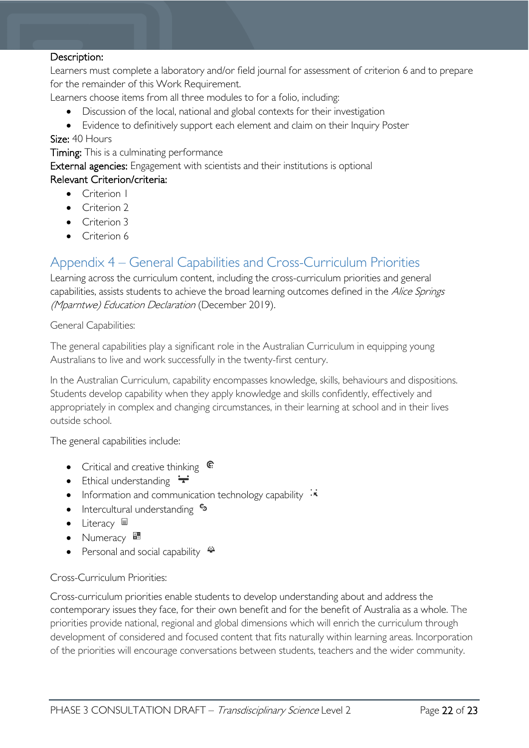#### Description:

Learners must complete a laboratory and/or field journal for assessment of criterion 6 and to prepare for the remainder of this Work Requirement.

Learners choose items from all three modules to for a folio, including:

- Discussion of the local, national and global contexts for their investigation
- Evidence to definitively support each element and claim on their Inquiry Poster

Size: 40 Hours

**Timing:** This is a culminating performance

External agencies: Engagement with scientists and their institutions is optional

#### Relevant Criterion/criteria:

- Criterion 1
- Criterion 2
- Criterion 3
- Criterion 6

### <span id="page-21-0"></span>Appendix 4 – General Capabilities and Cross-Curriculum Priorities

Learning across the curriculum content, including the cross-curriculum priorities and general capabilities, assists students to achieve the broad learning outcomes defined in the Alice Springs (Mparntwe) Education Declaration (December 2019).

General Capabilities:

The general capabilities play a significant role in the Australian Curriculum in equipping young Australians to live and work successfully in the twenty-first century.

In the Australian Curriculum, capability encompasses knowledge, skills, behaviours and dispositions. Students develop capability when they apply knowledge and skills confidently, effectively and appropriately in complex and changing circumstances, in their learning at school and in their lives outside school.

The general capabilities include:

- Critical and creative thinking  $\mathbb{C}$
- Ethical understanding  $\div$
- Information and communication technology capability  $\cdot \star$
- Intercultural understanding •
- Literacy  $\blacksquare$
- Numeracy
- Personal and social capability  $\ddot{\ddot{}}$

#### Cross-Curriculum Priorities:

Cross-curriculum priorities enable students to develop understanding about and address the contemporary issues they face, for their own benefit and for the benefit of Australia as a whole. The priorities provide national, regional and global dimensions which will enrich the curriculum through development of considered and focused content that fits naturally within learning areas. Incorporation of the priorities will encourage conversations between students, teachers and the wider community.